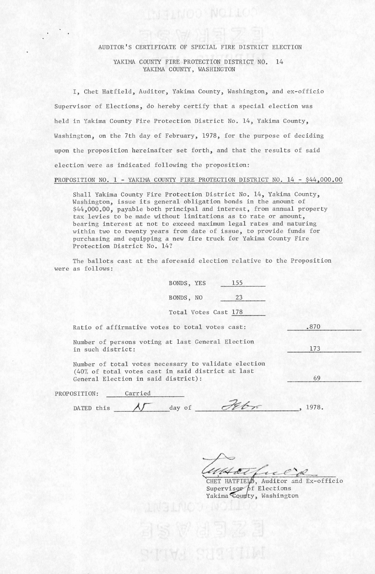## AUDITOR'S CERTIFICATE OF SPECIAL FIRE DISTRICT ELECTION

**SIMOO NOLL** 

## YAKIMA COUNTY FIRE PROTECTION DISTRICT NO. 14 YAKIMA COUNTY, WASHINGTON

I, Chet Hatfield, Auditor, Yakima County, Washington, and ex-officio Supervisor of Elections, do hereby certify that a special election was held in Yakima County Fire Protection District No. 14, Yakima County, Washington, on the 7th day of February, 1978, for the purpose of deciding upon the proposition hereinafter set forth, and that the results of said election were as indicated following the proposition:

## PROPOSITION NO. 1 - YAKIMA COUNTY FIRE PROTECTION DISTRICT NO. 14 - \$44,000.00

Shall Yakima County Fire Protection District No. 14, Yakima County, Washington, issue its general obligation bonds in the amount of \$44,000.00, payable both principal and interest, from annual property tax levies to be made without limitations as to rate or amount, bearing interest at not to exceed maximum legal rates and maturing within two to twenty years from date of issue, to provide funds for purchasing and equipping a new fire truck for Yakima County Fire Protection District No. 14?

The ballots cast at the aforesaid election relative to the Proposition were as follows:

| BONDS, YES           | 155 |  |
|----------------------|-----|--|
| BONDS, NO            | 23  |  |
| Total Votes Cast 178 |     |  |
|                      |     |  |

|  |  | Ratio of affirmative votes to total votes cast: |  |  |  |  |  | .870 |
|--|--|-------------------------------------------------|--|--|--|--|--|------|
|--|--|-------------------------------------------------|--|--|--|--|--|------|

Number of persons voting at last General Election in such district: 173

Number of total votes necessary to validate election (40% of total votes cast in said district at last General Election in said district):

| PROPOSITION: | Carried |           |       |
|--------------|---------|-----------|-------|
| DATED this   |         | of<br>day | 1978. |

WATE CR

Supervisor  $\beta$ f Elections Yakima County, Washington

69